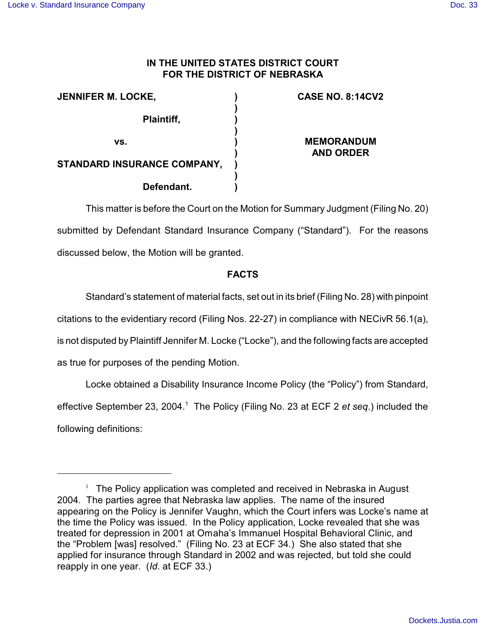# **IN THE UNITED STATES DISTRICT COURT FOR THE DISTRICT OF NEBRASKA**

| <b>JENNIFER M. LOCKE,</b>   | <b>CASE NO. 8:14CV2</b>               |
|-----------------------------|---------------------------------------|
| Plaintiff,                  |                                       |
| VS.                         | <b>MEMORANDUM</b><br><b>AND ORDER</b> |
| STANDARD INSURANCE COMPANY, |                                       |
| Defendant.                  |                                       |

This matter is before the Court on the Motion for Summary Judgment (Filing No. 20) submitted by Defendant Standard Insurance Company ("Standard"). For the reasons discussed below, the Motion will be granted.

# **FACTS**

Standard's statement of material facts, set out in its brief (Filing No. 28) with pinpoint

citations to the evidentiary record (Filing Nos. 22-27) in compliance with NECivR 56.1(a),

is not disputed by Plaintiff Jennifer M. Locke ("Locke"), and the following facts are accepted

as true for purposes of the pending Motion.

Locke obtained a Disability Insurance Income Policy (the "Policy") from Standard, effective September 23, 2004.<sup>1</sup> The Policy (Filing No. 23 at ECF 2 *et seq.*) included the following definitions:

 $1$  The Policy application was completed and received in Nebraska in August 2004. The parties agree that Nebraska law applies. The name of the insured appearing on the Policy is Jennifer Vaughn, which the Court infers was Locke's name at the time the Policy was issued. In the Policy application, Locke revealed that she was treated for depression in 2001 at Omaha's Immanuel Hospital Behavioral Clinic, and the "Problem [was] resolved." (Filing No. 23 at ECF 34.) She also stated that she applied for insurance through Standard in 2002 and was rejected, but told she could reapply in one year. (*Id*. at ECF 33.)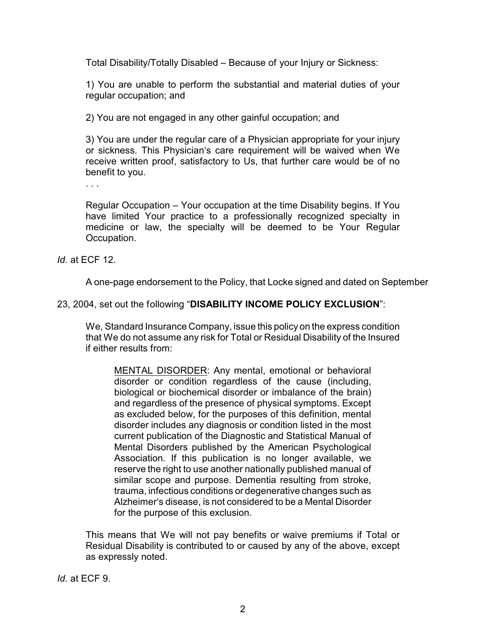Total Disability/Totally Disabled – Because of your Injury or Sickness:

1) You are unable to perform the substantial and material duties of your regular occupation; and

2) You are not engaged in any other gainful occupation; and

3) You are under the regular care of a Physician appropriate for your injury or sickness. This Physician's care requirement will be waived when We receive written proof, satisfactory to Us, that further care would be of no benefit to you.

. . .

Regular Occupation – Your occupation at the time Disability begins. If You have limited Your practice to a professionally recognized specialty in medicine or law, the specialty will be deemed to be Your Regular Occupation.

*Id.* at ECF 12.

A one-page endorsement to the Policy, that Locke signed and dated on September

# 23, 2004, set out the following "**DISABILITY INCOME POLICY EXCLUSION**":

We, Standard Insurance Company, issue this policy on the express condition that We do not assume any risk for Total or Residual Disability of the Insured if either results from:

MENTAL DISORDER: Any mental, emotional or behavioral disorder or condition regardless of the cause (including, biological or biochemical disorder or imbalance of the brain) and regardless of the presence of physical symptoms. Except as excluded below, for the purposes of this definition, mental disorder includes any diagnosis or condition listed in the most current publication of the Diagnostic and Statistical Manual of Mental Disorders published by the American Psychological Association. If this publication is no longer available, we reserve the right to use another nationally published manual of similar scope and purpose. Dementia resulting from stroke, trauma, infectious conditions or degenerative changes such as Alzheimer's disease, is not considered to be a Mental Disorder for the purpose of this exclusion.

This means that We will not pay benefits or waive premiums if Total or Residual Disability is contributed to or caused by any of the above, except as expressly noted.

*Id.* at ECF 9.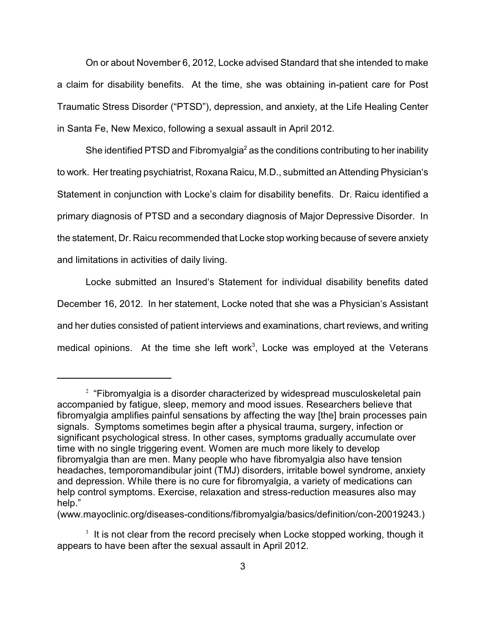On or about November 6, 2012, Locke advised Standard that she intended to make a claim for disability benefits. At the time, she was obtaining in-patient care for Post Traumatic Stress Disorder ("PTSD"), depression, and anxiety, at the Life Healing Center in Santa Fe, New Mexico, following a sexual assault in April 2012.

She identified PTSD and Fibromyalgia<sup>2</sup> as the conditions contributing to her inability to work. Her treating psychiatrist, Roxana Raicu, M.D., submitted an Attending Physician's Statement in conjunction with Locke's claim for disability benefits. Dr. Raicu identified a primary diagnosis of PTSD and a secondary diagnosis of Major Depressive Disorder. In the statement, Dr. Raicu recommended that Locke stop working because of severe anxiety and limitations in activities of daily living.

Locke submitted an Insured's Statement for individual disability benefits dated December 16, 2012. In her statement, Locke noted that she was a Physician's Assistant and her duties consisted of patient interviews and examinations, chart reviews, and writing medical opinions. At the time she left work<sup>3</sup>, Locke was employed at the Veterans

(www.mayoclinic.org/diseases-conditions/fibromyalgia/basics/definition/con-20019243.)

 $2$  "Fibromyalgia is a disorder characterized by widespread musculoskeletal pain accompanied by fatigue, sleep, memory and mood issues. Researchers believe that fibromyalgia amplifies painful sensations by affecting the way [the] brain processes pain signals. Symptoms sometimes begin after a physical trauma, surgery, infection or significant psychological stress. In other cases, symptoms gradually accumulate over time with no single triggering event. Women are much more likely to develop fibromyalgia than are men. Many people who have fibromyalgia also have tension headaches, temporomandibular joint (TMJ) disorders, irritable bowel syndrome, anxiety and depression. While there is no cure for fibromyalgia, a variety of medications can help control symptoms. Exercise, relaxation and stress-reduction measures also may help."

 $3$  It is not clear from the record precisely when Locke stopped working, though it appears to have been after the sexual assault in April 2012.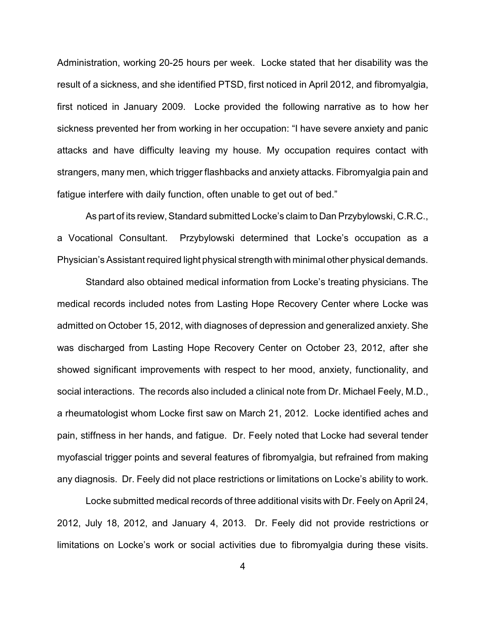Administration, working 20-25 hours per week. Locke stated that her disability was the result of a sickness, and she identified PTSD, first noticed in April 2012, and fibromyalgia, first noticed in January 2009. Locke provided the following narrative as to how her sickness prevented her from working in her occupation: "I have severe anxiety and panic attacks and have difficulty leaving my house. My occupation requires contact with strangers, many men, which trigger flashbacks and anxiety attacks. Fibromyalgia pain and fatigue interfere with daily function, often unable to get out of bed."

As part of its review, Standard submitted Locke's claim to Dan Przybylowski, C.R.C., a Vocational Consultant. Przybylowski determined that Locke's occupation as a Physician's Assistant required light physical strength with minimal other physical demands.

Standard also obtained medical information from Locke's treating physicians. The medical records included notes from Lasting Hope Recovery Center where Locke was admitted on October 15, 2012, with diagnoses of depression and generalized anxiety. She was discharged from Lasting Hope Recovery Center on October 23, 2012, after she showed significant improvements with respect to her mood, anxiety, functionality, and social interactions. The records also included a clinical note from Dr. Michael Feely, M.D., a rheumatologist whom Locke first saw on March 21, 2012. Locke identified aches and pain, stiffness in her hands, and fatigue. Dr. Feely noted that Locke had several tender myofascial trigger points and several features of fibromyalgia, but refrained from making any diagnosis. Dr. Feely did not place restrictions or limitations on Locke's ability to work.

Locke submitted medical records of three additional visits with Dr. Feely on April 24, 2012, July 18, 2012, and January 4, 2013. Dr. Feely did not provide restrictions or limitations on Locke's work or social activities due to fibromyalgia during these visits.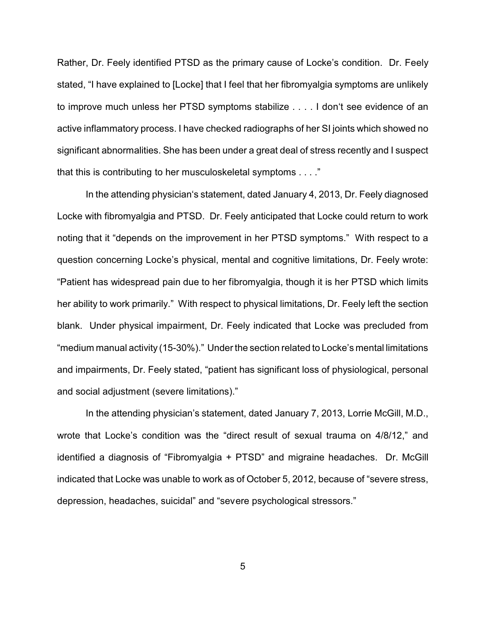Rather, Dr. Feely identified PTSD as the primary cause of Locke's condition. Dr. Feely stated, "I have explained to [Locke] that I feel that her fibromyalgia symptoms are unlikely to improve much unless her PTSD symptoms stabilize . . . . I don't see evidence of an active inflammatory process. I have checked radiographs of her SI joints which showed no significant abnormalities. She has been under a great deal of stress recently and I suspect that this is contributing to her musculoskeletal symptoms . . . ."

In the attending physician's statement, dated January 4, 2013, Dr. Feely diagnosed Locke with fibromyalgia and PTSD. Dr. Feely anticipated that Locke could return to work noting that it "depends on the improvement in her PTSD symptoms." With respect to a question concerning Locke's physical, mental and cognitive limitations, Dr. Feely wrote: "Patient has widespread pain due to her fibromyalgia, though it is her PTSD which limits her ability to work primarily." With respect to physical limitations, Dr. Feely left the section blank. Under physical impairment, Dr. Feely indicated that Locke was precluded from "medium manual activity (15-30%)." Under the section related to Locke's mental limitations and impairments, Dr. Feely stated, "patient has significant loss of physiological, personal and social adjustment (severe limitations)."

In the attending physician's statement, dated January 7, 2013, Lorrie McGill, M.D., wrote that Locke's condition was the "direct result of sexual trauma on 4/8/12," and identified a diagnosis of "Fibromyalgia + PTSD" and migraine headaches. Dr. McGill indicated that Locke was unable to work as of October 5, 2012, because of "severe stress, depression, headaches, suicidal" and "severe psychological stressors."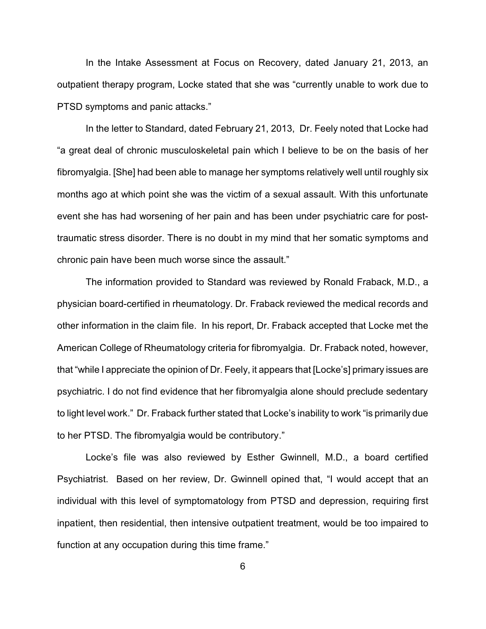In the Intake Assessment at Focus on Recovery, dated January 21, 2013, an outpatient therapy program, Locke stated that she was "currently unable to work due to PTSD symptoms and panic attacks."

In the letter to Standard, dated February 21, 2013, Dr. Feely noted that Locke had "a great deal of chronic musculoskeletal pain which I believe to be on the basis of her fibromyalgia. [She] had been able to manage her symptoms relatively well until roughly six months ago at which point she was the victim of a sexual assault. With this unfortunate event she has had worsening of her pain and has been under psychiatric care for posttraumatic stress disorder. There is no doubt in my mind that her somatic symptoms and chronic pain have been much worse since the assault."

The information provided to Standard was reviewed by Ronald Fraback, M.D., a physician board-certified in rheumatology. Dr. Fraback reviewed the medical records and other information in the claim file. In his report, Dr. Fraback accepted that Locke met the American College of Rheumatology criteria for fibromyalgia. Dr. Fraback noted, however, that "while I appreciate the opinion of Dr. Feely, it appears that [Locke's] primary issues are psychiatric. I do not find evidence that her fibromyalgia alone should preclude sedentary to light level work." Dr. Fraback further stated that Locke's inability to work "is primarily due to her PTSD. The fibromyalgia would be contributory."

Locke's file was also reviewed by Esther Gwinnell, M.D., a board certified Psychiatrist. Based on her review, Dr. Gwinnell opined that, "I would accept that an individual with this level of symptomatology from PTSD and depression, requiring first inpatient, then residential, then intensive outpatient treatment, would be too impaired to function at any occupation during this time frame."

6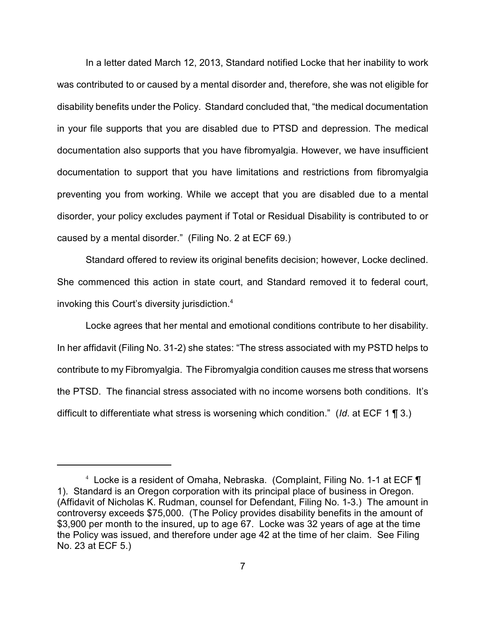In a letter dated March 12, 2013, Standard notified Locke that her inability to work was contributed to or caused by a mental disorder and, therefore, she was not eligible for disability benefits under the Policy. Standard concluded that, "the medical documentation in your file supports that you are disabled due to PTSD and depression. The medical documentation also supports that you have fibromyalgia. However, we have insufficient documentation to support that you have limitations and restrictions from fibromyalgia preventing you from working. While we accept that you are disabled due to a mental disorder, your policy excludes payment if Total or Residual Disability is contributed to or caused by a mental disorder." (Filing No. 2 at ECF 69.)

Standard offered to review its original benefits decision; however, Locke declined. She commenced this action in state court, and Standard removed it to federal court, invoking this Court's diversity jurisdiction.<sup>4</sup>

Locke agrees that her mental and emotional conditions contribute to her disability. In her affidavit (Filing No. 31-2) she states: "The stress associated with my PSTD helps to contribute to my Fibromyalgia. The Fibromyalgia condition causes me stress that worsens the PTSD. The financial stress associated with no income worsens both conditions. It's difficult to differentiate what stress is worsening which condition." (*Id*. at ECF 1 ¶ 3.)

<sup>4</sup> Locke is a resident of Omaha, Nebraska. (Complaint, Filing No. 1-1 at ECF ¶ 1). Standard is an Oregon corporation with its principal place of business in Oregon. (Affidavit of Nicholas K. Rudman, counsel for Defendant, Filing No. 1-3.) The amount in controversy exceeds \$75,000. (The Policy provides disability benefits in the amount of \$3,900 per month to the insured, up to age 67. Locke was 32 years of age at the time the Policy was issued, and therefore under age 42 at the time of her claim. See Filing No. 23 at ECF 5.)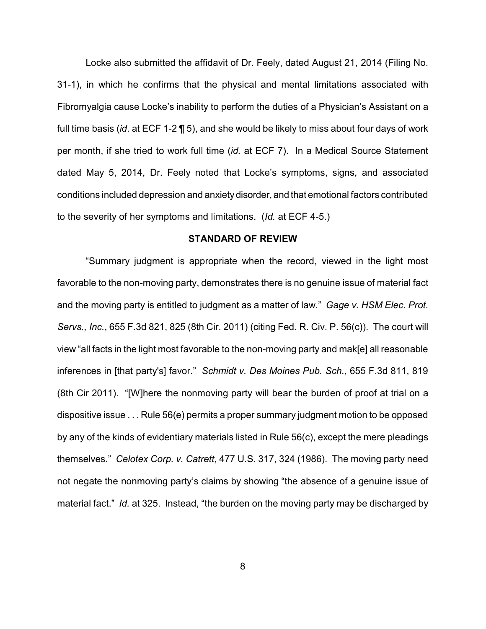Locke also submitted the affidavit of Dr. Feely, dated August 21, 2014 (Filing No. 31-1), in which he confirms that the physical and mental limitations associated with Fibromyalgia cause Locke's inability to perform the duties of a Physician's Assistant on a full time basis (*id*. at ECF 1-2 ¶ 5), and she would be likely to miss about four days of work per month, if she tried to work full time (*id.* at ECF 7). In a Medical Source Statement dated May 5, 2014, Dr. Feely noted that Locke's symptoms, signs, and associated conditions included depression and anxiety disorder, and that emotional factors contributed to the severity of her symptoms and limitations. (*Id.* at ECF 4-5.)

### **STANDARD OF REVIEW**

"Summary judgment is appropriate when the record, viewed in the light most favorable to the non-moving party, demonstrates there is no genuine issue of material fact and the moving party is entitled to judgment as a matter of law." *Gage v. HSM Elec. Prot. Servs., Inc.*, 655 F.3d 821, 825 (8th Cir. 2011) (citing Fed. R. Civ. P. 56(c)). The court will view "all facts in the light most favorable to the non-moving party and mak[e] all reasonable inferences in [that party's] favor." *Schmidt v. Des Moines Pub. Sch.*, 655 F.3d 811, 819 (8th Cir 2011). "[W]here the nonmoving party will bear the burden of proof at trial on a dispositive issue . . . Rule 56(e) permits a proper summary judgment motion to be opposed by any of the kinds of evidentiary materials listed in Rule 56(c), except the mere pleadings themselves." *Celotex Corp. v. Catrett*, 477 U.S. 317, 324 (1986). The moving party need not negate the nonmoving party's claims by showing "the absence of a genuine issue of material fact." *Id.* at 325. Instead, "the burden on the moving party may be discharged by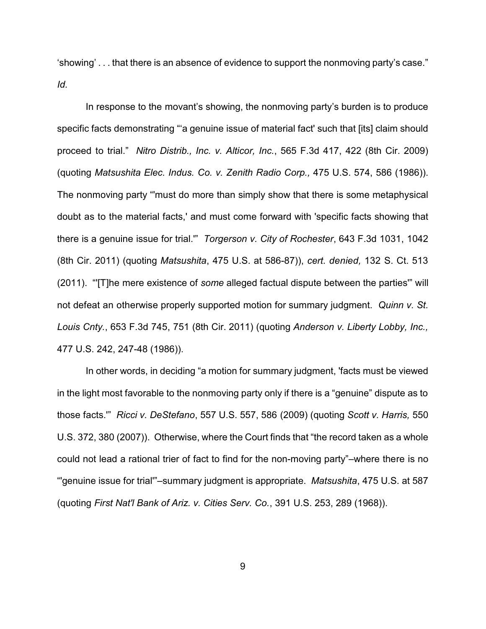'showing' . . . that there is an absence of evidence to support the nonmoving party's case." *Id.*

In response to the movant's showing, the nonmoving party's burden is to produce specific facts demonstrating "'a genuine issue of material fact' such that [its] claim should proceed to trial." *Nitro Distrib., Inc. v. Alticor, Inc.*, 565 F.3d 417, 422 (8th Cir. 2009) (quoting *Matsushita Elec. Indus. Co. v. Zenith Radio Corp.,* 475 U.S. 574, 586 (1986)). The nonmoving party "'must do more than simply show that there is some metaphysical doubt as to the material facts,' and must come forward with 'specific facts showing that there is a genuine issue for trial.'" *Torgerson v. City of Rochester*, 643 F.3d 1031, 1042 (8th Cir. 2011) (quoting *Matsushita*, 475 U.S. at 586-87)), *cert. denied,* 132 S. Ct. 513 (2011). "'[T]he mere existence of *some* alleged factual dispute between the parties'" will not defeat an otherwise properly supported motion for summary judgment. *Quinn v. St. Louis Cnty.*, 653 F.3d 745, 751 (8th Cir. 2011) (quoting *Anderson v. Liberty Lobby, Inc.,* 477 U.S. 242, 247-48 (1986)).

In other words, in deciding "a motion for summary judgment, 'facts must be viewed in the light most favorable to the nonmoving party only if there is a "genuine" dispute as to those facts.'" *Ricci v. DeStefano*, 557 U.S. 557, 586 (2009) (quoting *Scott v. Harris,* 550 U.S. 372, 380 (2007)). Otherwise, where the Court finds that "the record taken as a whole could not lead a rational trier of fact to find for the non-moving party"–where there is no "'genuine issue for trial'"–summary judgment is appropriate. *Matsushita*, 475 U.S. at 587 (quoting *First Nat'l Bank of Ariz. v. Cities Serv. Co.*, 391 U.S. 253, 289 (1968)).

9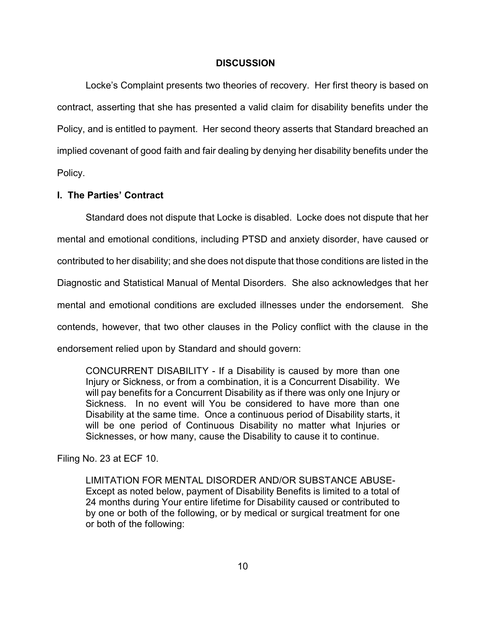### **DISCUSSION**

Locke's Complaint presents two theories of recovery. Her first theory is based on contract, asserting that she has presented a valid claim for disability benefits under the Policy, and is entitled to payment. Her second theory asserts that Standard breached an implied covenant of good faith and fair dealing by denying her disability benefits under the Policy.

### **I. The Parties' Contract**

Standard does not dispute that Locke is disabled. Locke does not dispute that her mental and emotional conditions, including PTSD and anxiety disorder, have caused or contributed to her disability; and she does not dispute that those conditions are listed in the Diagnostic and Statistical Manual of Mental Disorders. She also acknowledges that her mental and emotional conditions are excluded illnesses under the endorsement. She contends, however, that two other clauses in the Policy conflict with the clause in the endorsement relied upon by Standard and should govern:

CONCURRENT DISABILITY - If a Disability is caused by more than one Injury or Sickness, or from a combination, it is a Concurrent Disability. We will pay benefits for a Concurrent Disability as if there was only one Injury or Sickness. In no event will You be considered to have more than one Disability at the same time. Once a continuous period of Disability starts, it will be one period of Continuous Disability no matter what Injuries or Sicknesses, or how many, cause the Disability to cause it to continue.

Filing No. 23 at ECF 10.

LIMITATION FOR MENTAL DISORDER AND/OR SUBSTANCE ABUSE-Except as noted below, payment of Disability Benefits is limited to a total of 24 months during Your entire lifetime for Disability caused or contributed to by one or both of the following, or by medical or surgical treatment for one or both of the following: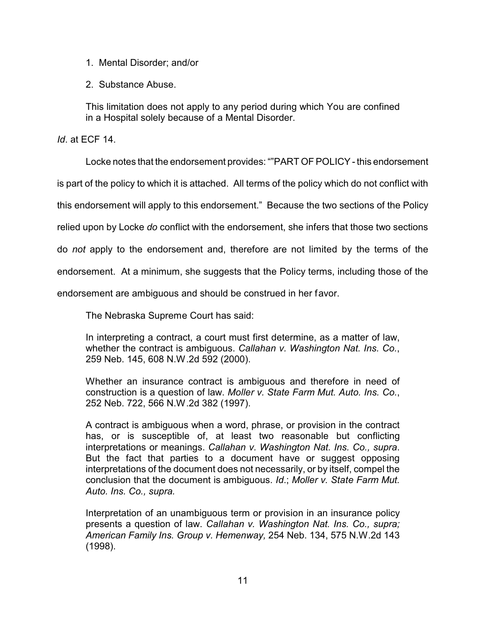- 1. Mental Disorder; and/or
- 2. Substance Abuse.

This limitation does not apply to any period during which You are confined in a Hospital solely because of a Mental Disorder.

*Id*. at ECF 14.

Locke notes that the endorsement provides: ""PART OF POLICY- this endorsement

is part of the policy to which it is attached. All terms of the policy which do not conflict with

this endorsement will apply to this endorsement." Because the two sections of the Policy

relied upon by Locke *do* conflict with the endorsement, she infers that those two sections

do *not* apply to the endorsement and, therefore are not limited by the terms of the

endorsement. At a minimum, she suggests that the Policy terms, including those of the

endorsement are ambiguous and should be construed in her favor.

The Nebraska Supreme Court has said:

In interpreting a contract, a court must first determine, as a matter of law, whether the contract is ambiguous. *Callahan v. Washington Nat. Ins. Co.*, 259 Neb. 145, 608 N.W.2d 592 (2000).

Whether an insurance contract is ambiguous and therefore in need of construction is a question of law. *Moller v. State Farm Mut. Auto. Ins. Co.*, 252 Neb. 722, 566 N.W.2d 382 (1997).

A contract is ambiguous when a word, phrase, or provision in the contract has, or is susceptible of, at least two reasonable but conflicting interpretations or meanings. *Callahan v. Washington Nat. Ins. Co., supra*. But the fact that parties to a document have or suggest opposing interpretations of the document does not necessarily, or by itself, compel the conclusion that the document is ambiguous. *Id*.; *Moller v. State Farm Mut. Auto. Ins. Co., supra.*

Interpretation of an unambiguous term or provision in an insurance policy presents a question of law. *Callahan v. Washington Nat. Ins. Co., supra; American Family Ins. Group v. Hemenway,* 254 Neb. 134, 575 N.W.2d 143 (1998).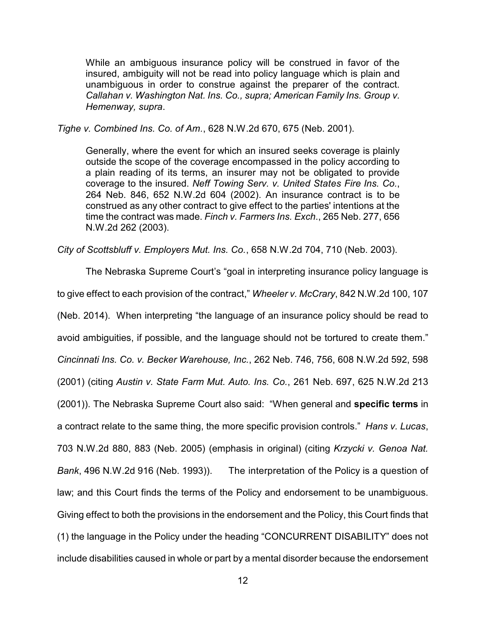While an ambiguous insurance policy will be construed in favor of the insured, ambiguity will not be read into policy language which is plain and unambiguous in order to construe against the preparer of the contract. *Callahan v. Washington Nat. Ins. Co., supra; American Family Ins. Group v. Hemenway, supra*.

*Tighe v. Combined Ins. Co. of Am.*, 628 N.W.2d 670, 675 (Neb. 2001).

Generally, where the event for which an insured seeks coverage is plainly outside the scope of the coverage encompassed in the policy according to a plain reading of its terms, an insurer may not be obligated to provide coverage to the insured. *Neff Towing Serv. v. United States Fire Ins. Co.*, 264 Neb. 846, 652 N.W.2d 604 (2002). An insurance contract is to be construed as any other contract to give effect to the parties' intentions at the time the contract was made. *Finch v. Farmers Ins. Exch*., 265 Neb. 277, 656 N.W.2d 262 (2003).

*City of Scottsbluff v. Employers Mut. Ins. Co.*, 658 N.W.2d 704, 710 (Neb. 2003).

The Nebraska Supreme Court's "goal in interpreting insurance policy language is to give effect to each provision of the contract," *Wheeler v. McCrary*, 842 N.W.2d 100, 107 (Neb. 2014). When interpreting "the language of an insurance policy should be read to avoid ambiguities, if possible, and the language should not be tortured to create them." *Cincinnati Ins. Co. v. Becker Warehouse, Inc.*, 262 Neb. 746, 756, 608 N.W.2d 592, 598 (2001) (citing *Austin v. State Farm Mut. Auto. Ins. Co.*, 261 Neb. 697, 625 N.W.2d 213 (2001)). The Nebraska Supreme Court also said: "When general and **specific terms** in a contract relate to the same thing, the more specific provision controls." *Hans v. Lucas*, 703 N.W.2d 880, 883 (Neb. 2005) (emphasis in original) (citing *Krzycki v. Genoa Nat. Bank*, 496 N.W.2d 916 (Neb. 1993)). The interpretation of the Policy is a question of law; and this Court finds the terms of the Policy and endorsement to be unambiguous. Giving effect to both the provisions in the endorsement and the Policy, this Court finds that (1) the language in the Policy under the heading "CONCURRENT DISABILITY" does not include disabilities caused in whole or part by a mental disorder because the endorsement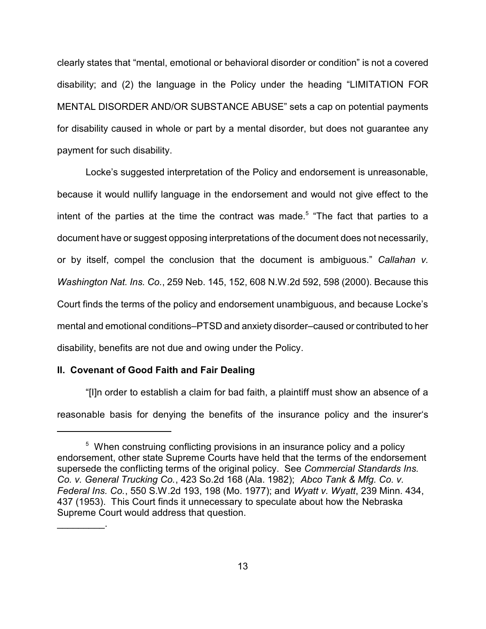clearly states that "mental, emotional or behavioral disorder or condition" is not a covered disability; and (2) the language in the Policy under the heading "LIMITATION FOR MENTAL DISORDER AND/OR SUBSTANCE ABUSE" sets a cap on potential payments for disability caused in whole or part by a mental disorder, but does not guarantee any payment for such disability.

Locke's suggested interpretation of the Policy and endorsement is unreasonable, because it would nullify language in the endorsement and would not give effect to the intent of the parties at the time the contract was made.<sup>5</sup> "The fact that parties to a document have or suggest opposing interpretations of the document does not necessarily, or by itself, compel the conclusion that the document is ambiguous." *Callahan v. Washington Nat. Ins. Co.*, 259 Neb. 145, 152, 608 N.W.2d 592, 598 (2000). Because this Court finds the terms of the policy and endorsement unambiguous, and because Locke's mental and emotional conditions–PTSD and anxiety disorder–caused or contributed to her disability, benefits are not due and owing under the Policy.

### **II. Covenant of Good Faith and Fair Dealing**

 $\mathcal{L}_\text{max}$  and  $\mathcal{L}_\text{max}$ 

"[I]n order to establish a claim for bad faith, a plaintiff must show an absence of a reasonable basis for denying the benefits of the insurance policy and the insurer's

<sup>&</sup>lt;sup>5</sup> When construing conflicting provisions in an insurance policy and a policy endorsement, other state Supreme Courts have held that the terms of the endorsement supersede the conflicting terms of the original policy. See *Commercial Standards Ins. Co. v. General Trucking Co.*, 423 So.2d 168 (Ala. 1982); *Abco Tank & Mfg. Co. v. Federal Ins. Co.*, 550 S.W.2d 193, 198 (Mo. 1977); and *Wyatt v. Wyatt*, 239 Minn. 434, 437 (1953). This Court finds it unnecessary to speculate about how the Nebraska Supreme Court would address that question.